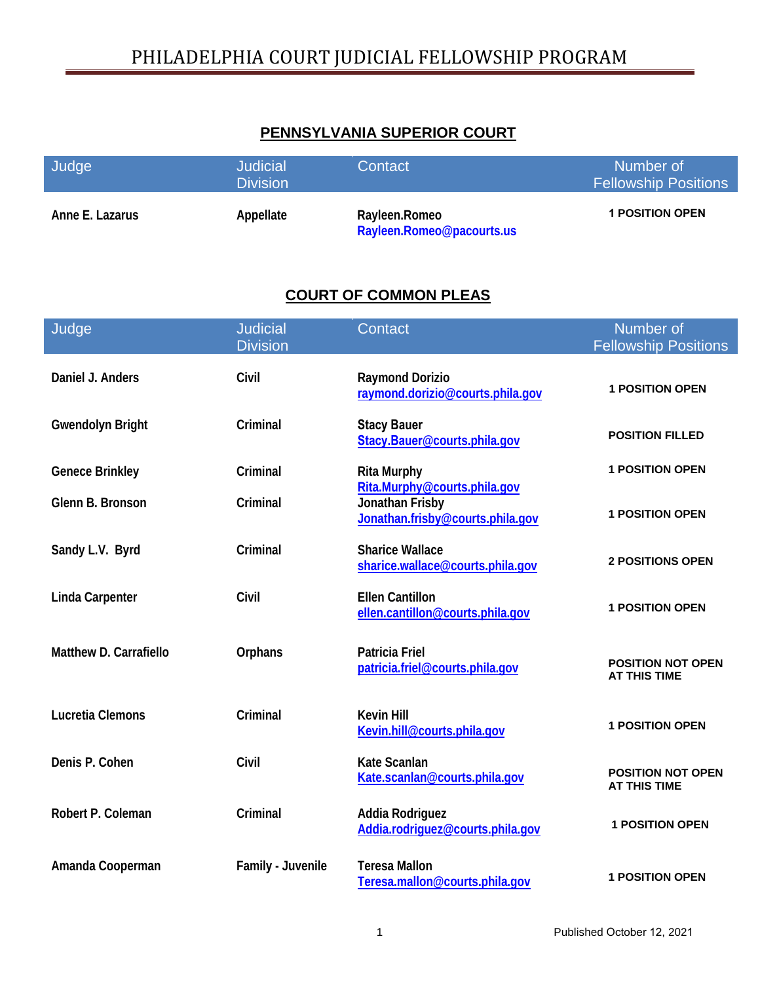#### **PENNSYLVANIA SUPERIOR COURT**

| Judge           | <b>Judicial</b><br><b>Division</b> | Contact                                    | Number of<br><b>Fellowship Positions</b> |
|-----------------|------------------------------------|--------------------------------------------|------------------------------------------|
| Anne E. Lazarus | Appellate                          | Rayleen.Romeo<br>Rayleen.Romeo@pacourts.us | <b>1 POSITION OPEN</b>                   |

#### **COURT OF COMMON PLEAS**

| Judge                   | <b>Judicial</b>   | Contact                                                    | Number of                                       |
|-------------------------|-------------------|------------------------------------------------------------|-------------------------------------------------|
|                         | <b>Division</b>   |                                                            | <b>Fellowship Positions</b>                     |
| Daniel J. Anders        | Civil             | <b>Raymond Dorizio</b><br>raymond.dorizio@courts.phila.gov | <b>1 POSITION OPEN</b>                          |
| <b>Gwendolyn Bright</b> | Criminal          | <b>Stacy Bauer</b><br>Stacy.Bauer@courts.phila.gov         | <b>POSITION FILLED</b>                          |
| <b>Genece Brinkley</b>  | Criminal          | <b>Rita Murphy</b><br>Rita.Murphy@courts.phila.gov         | <b>1 POSITION OPEN</b>                          |
| Glenn B. Bronson        | Criminal          | Jonathan Frisby<br>Jonathan.frisby@courts.phila.gov        | <b>1 POSITION OPEN</b>                          |
| Sandy L.V. Byrd         | Criminal          | <b>Sharice Wallace</b><br>sharice.wallace@courts.phila.gov | <b>2 POSITIONS OPEN</b>                         |
| <b>Linda Carpenter</b>  | Civil             | <b>Ellen Cantillon</b><br>ellen.cantillon@courts.phila.gov | <b>1 POSITION OPEN</b>                          |
| Matthew D. Carrafiello  | Orphans           | <b>Patricia Friel</b><br>patricia.friel@courts.phila.gov   | <b>POSITION NOT OPEN</b><br><b>AT THIS TIME</b> |
| <b>Lucretia Clemons</b> | Criminal          | <b>Kevin Hill</b><br>Kevin.hill@courts.phila.gov           | <b>1 POSITION OPEN</b>                          |
| Denis P. Cohen          | Civil             | <b>Kate Scanlan</b><br>Kate.scanlan@courts.phila.gov       | <b>POSITION NOT OPEN</b><br><b>AT THIS TIME</b> |
| Robert P. Coleman       | Criminal          | Addia Rodriguez<br>Addia.rodriguez@courts.phila.gov        | <b>1 POSITION OPEN</b>                          |
| Amanda Cooperman        | Family - Juvenile | <b>Teresa Mallon</b><br>Teresa.mallon@courts.phila.gov     | <b>1 POSITION OPEN</b>                          |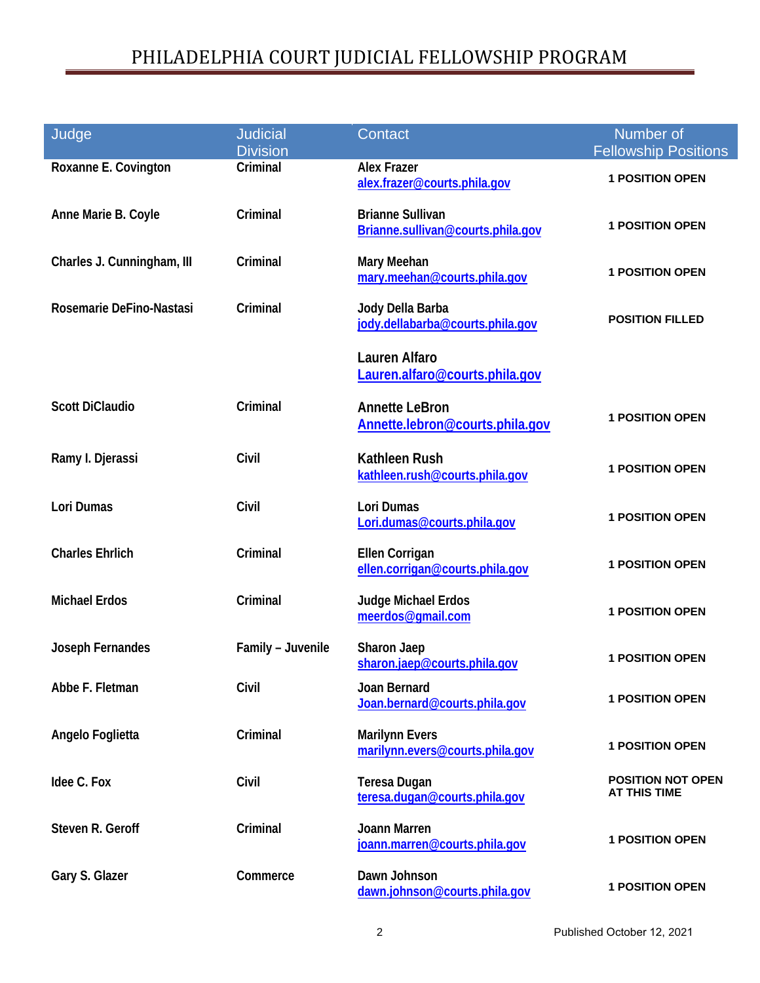| Judge                      | <b>Judicial</b><br><b>Division</b> | Contact                                                      | Number of<br><b>Fellowship Positions</b>        |
|----------------------------|------------------------------------|--------------------------------------------------------------|-------------------------------------------------|
| Roxanne E. Covington       | Criminal                           | <b>Alex Frazer</b><br>alex.frazer@courts.phila.gov           | <b>1 POSITION OPEN</b>                          |
| Anne Marie B. Coyle        | Criminal                           | <b>Brianne Sullivan</b><br>Brianne.sullivan@courts.phila.gov | <b>1 POSITION OPEN</b>                          |
| Charles J. Cunningham, III | Criminal                           | Mary Meehan<br>mary.meehan@courts.phila.gov                  | <b>1 POSITION OPEN</b>                          |
| Rosemarie DeFino-Nastasi   | Criminal                           | Jody Della Barba<br>jody.dellabarba@courts.phila.gov         | <b>POSITION FILLED</b>                          |
|                            |                                    | <b>Lauren Alfaro</b><br>Lauren.alfaro@courts.phila.gov       |                                                 |
| <b>Scott DiClaudio</b>     | Criminal                           | <b>Annette LeBron</b><br>Annette.lebron@courts.phila.gov     | <b>1 POSITION OPEN</b>                          |
| Ramy I. Djerassi           | Civil                              | <b>Kathleen Rush</b><br>kathleen.rush@courts.phila.gov       | <b>1 POSITION OPEN</b>                          |
| <b>Lori Dumas</b>          | Civil                              | Lori Dumas<br>Lori.dumas@courts.phila.gov                    | <b>1 POSITION OPEN</b>                          |
| <b>Charles Ehrlich</b>     | Criminal                           | Ellen Corrigan<br>ellen.corrigan@courts.phila.gov            | <b>1 POSITION OPEN</b>                          |
| <b>Michael Erdos</b>       | Criminal                           | Judge Michael Erdos<br>meerdos@gmail.com                     | <b>1 POSITION OPEN</b>                          |
| Joseph Fernandes           | Family - Juvenile                  | Sharon Jaep<br>sharon.jaep@courts.phila.gov                  | <b>1 POSITION OPEN</b>                          |
| Abbe F. Fletman            | Civil                              | Joan Bernard<br>Joan.bernard@courts.phila.gov                | <b>1 POSITION OPEN</b>                          |
| Angelo Foglietta           | Criminal                           | <b>Marilynn Evers</b><br>marilynn.evers@courts.phila.gov     | <b>1 POSITION OPEN</b>                          |
| Idee C. Fox                | Civil                              | <b>Teresa Dugan</b><br>teresa.dugan@courts.phila.gov         | <b>POSITION NOT OPEN</b><br><b>AT THIS TIME</b> |
| Steven R. Geroff           | Criminal                           | <b>Joann Marren</b><br>joann.marren@courts.phila.gov         | <b>1 POSITION OPEN</b>                          |
| Gary S. Glazer             | Commerce                           | Dawn Johnson<br>dawn.johnson@courts.phila.gov                | <b>1 POSITION OPEN</b>                          |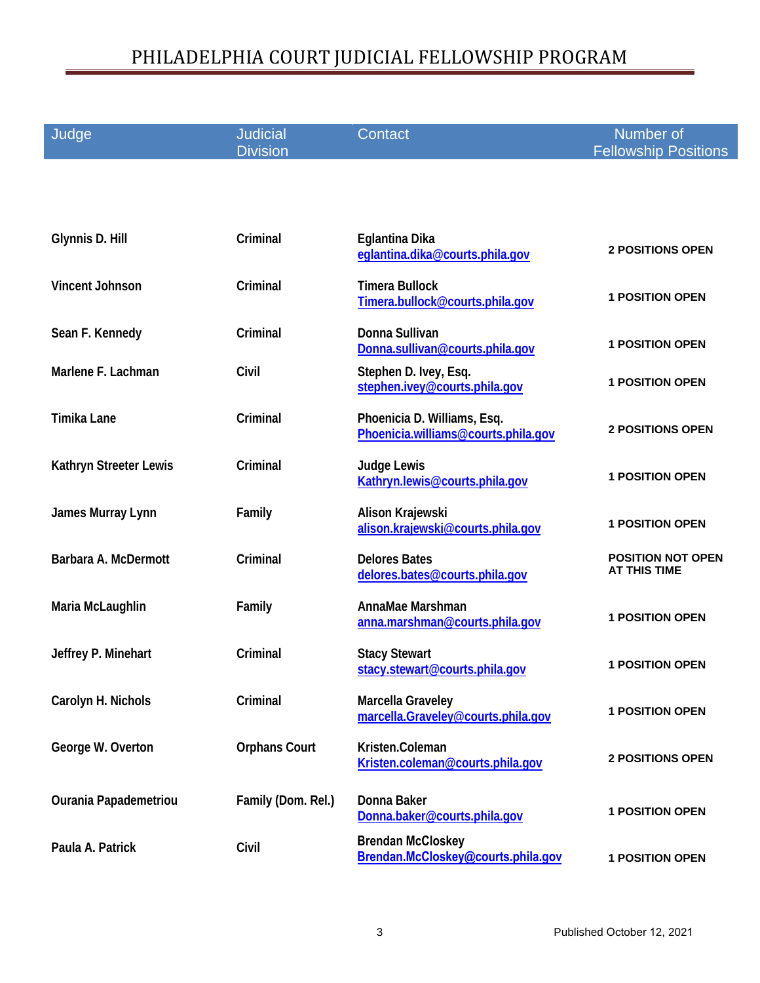| Judge                  | <b>Judicial</b><br><b>Division</b> | Contact                                                            | Number of<br><b>Fellowship Positions</b>        |
|------------------------|------------------------------------|--------------------------------------------------------------------|-------------------------------------------------|
|                        |                                    |                                                                    |                                                 |
|                        |                                    |                                                                    |                                                 |
| Glynnis D. Hill        | Criminal                           | Eglantina Dika<br>eglantina.dika@courts.phila.gov                  | <b>2 POSITIONS OPEN</b>                         |
| <b>Vincent Johnson</b> | Criminal                           | <b>Timera Bullock</b><br>Timera.bullock@courts.phila.gov           | <b>1 POSITION OPEN</b>                          |
| Sean F. Kennedy        | Criminal                           | Donna Sullivan<br>Donna.sullivan@courts.phila.gov                  | <b>1 POSITION OPEN</b>                          |
| Marlene F. Lachman     | Civil                              | Stephen D. Ivey, Esq.<br>stephen.ivey@courts.phila.gov             | <b>1 POSITION OPEN</b>                          |
| <b>Timika Lane</b>     | Criminal                           | Phoenicia D. Williams, Esq.<br>Phoenicia.williams@courts.phila.gov | <b>2 POSITIONS OPEN</b>                         |
| Kathryn Streeter Lewis | Criminal                           | <b>Judge Lewis</b><br>Kathryn.lewis@courts.phila.gov               | <b>1 POSITION OPEN</b>                          |
| James Murray Lynn      | Family                             | Alison Krajewski<br>alison.krajewski@courts.phila.gov              | <b>1 POSITION OPEN</b>                          |
| Barbara A. McDermott   | Criminal                           | <b>Delores Bates</b><br>delores.bates@courts.phila.gov             | <b>POSITION NOT OPEN</b><br><b>AT THIS TIME</b> |
| Maria McLaughlin       | Family                             | AnnaMae Marshman<br>anna.marshman@courts.phila.gov                 | <b>1 POSITION OPEN</b>                          |
| Jeffrey P. Minehart    | Criminal                           | <b>Stacy Stewart</b><br>stacy.stewart@courts.phila.gov             | <b>1 POSITION OPEN</b>                          |
| Carolyn H. Nichols     | Criminal                           | Marcella Graveley<br>marcella.Graveley@courts.phila.gov            | <b>1 POSITION OPEN</b>                          |
| George W. Overton      | <b>Orphans Court</b>               | Kristen.Coleman<br>Kristen.coleman@courts.phila.gov                | <b>2 POSITIONS OPEN</b>                         |
| Ourania Papademetriou  | Family (Dom. Rel.)                 | Donna Baker<br>Donna.baker@courts.phila.gov                        | <b>1 POSITION OPEN</b>                          |
| Paula A. Patrick       | Civil                              | <b>Brendan McCloskey</b><br>Brendan.McCloskey@courts.phila.gov     | <b>1 POSITION OPEN</b>                          |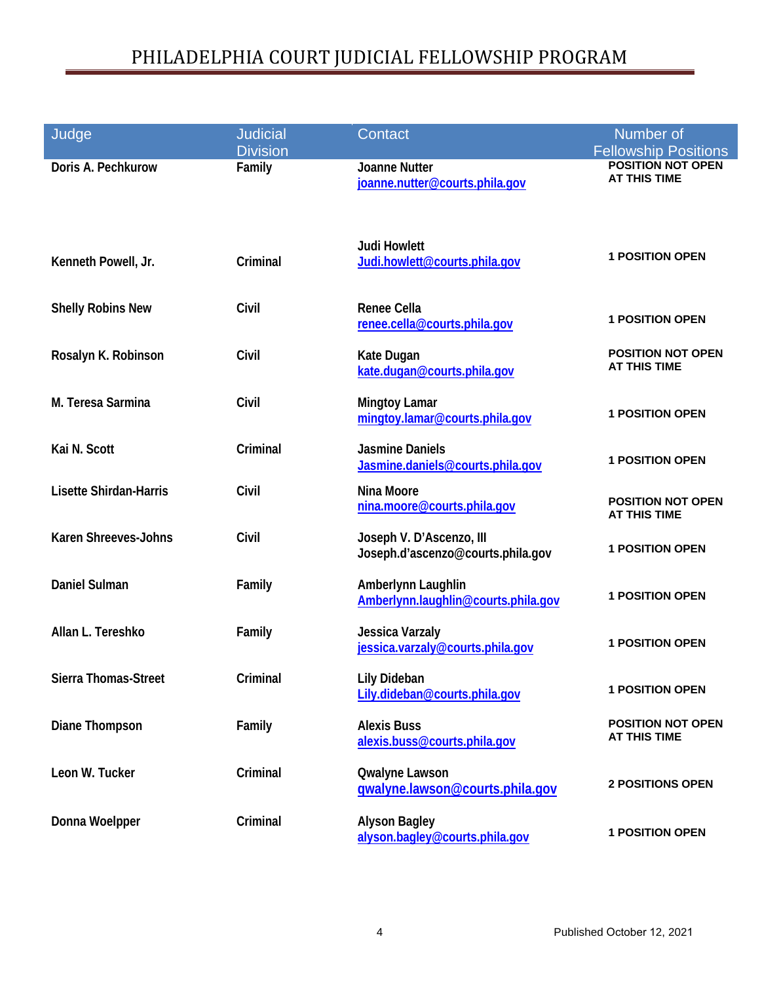| Judge                         | <b>Judicial</b>           | Contact                                                       | Number of                                                                      |
|-------------------------------|---------------------------|---------------------------------------------------------------|--------------------------------------------------------------------------------|
| Doris A. Pechkurow            | <b>Division</b><br>Family | <b>Joanne Nutter</b><br>joanne.nutter@courts.phila.gov        | <b>Fellowship Positions</b><br><b>POSITION NOT OPEN</b><br><b>AT THIS TIME</b> |
| Kenneth Powell, Jr.           | Criminal                  | <b>Judi Howlett</b><br>Judi.howlett@courts.phila.gov          | <b>1 POSITION OPEN</b>                                                         |
| <b>Shelly Robins New</b>      | Civil                     | <b>Renee Cella</b><br>renee.cella@courts.phila.gov            | <b>1 POSITION OPEN</b>                                                         |
| Rosalyn K. Robinson           | Civil                     | Kate Dugan<br>kate.dugan@courts.phila.gov                     | <b>POSITION NOT OPEN</b><br><b>AT THIS TIME</b>                                |
| M. Teresa Sarmina             | Civil                     | <b>Mingtoy Lamar</b><br>mingtoy.lamar@courts.phila.gov        | <b>1 POSITION OPEN</b>                                                         |
| Kai N. Scott                  | Criminal                  | <b>Jasmine Daniels</b><br>Jasmine.daniels@courts.phila.gov    | <b>1 POSITION OPEN</b>                                                         |
| <b>Lisette Shirdan-Harris</b> | Civil                     | Nina Moore<br>nina.moore@courts.phila.gov                     | <b>POSITION NOT OPEN</b><br><b>AT THIS TIME</b>                                |
| <b>Karen Shreeves-Johns</b>   | Civil                     | Joseph V. D'Ascenzo, III<br>Joseph.d'ascenzo@courts.phila.gov | <b>1 POSITION OPEN</b>                                                         |
| <b>Daniel Sulman</b>          | Family                    | Amberlynn Laughlin<br>Amberlynn.laughlin@courts.phila.gov     | <b>1 POSITION OPEN</b>                                                         |
| Allan L. Tereshko             | Family                    | <b>Jessica Varzaly</b><br>jessica.varzaly@courts.phila.gov    | <b>1 POSITION OPEN</b>                                                         |
| Sierra Thomas-Street          | Criminal                  | <b>Lily Dideban</b><br>Lily.dideban@courts.phila.gov          | <b>1 POSITION OPEN</b>                                                         |
| Diane Thompson                | Family                    | <b>Alexis Buss</b><br>alexis.buss@courts.phila.gov            | <b>POSITION NOT OPEN</b><br>AT THIS TIME                                       |
| Leon W. Tucker                | Criminal                  | <b>Qwalyne Lawson</b><br>gwalyne.lawson@courts.phila.gov      | <b>2 POSITIONS OPEN</b>                                                        |
| Donna Woelpper                | Criminal                  | <b>Alyson Bagley</b><br>alyson.bagley@courts.phila.gov        | <b>1 POSITION OPEN</b>                                                         |